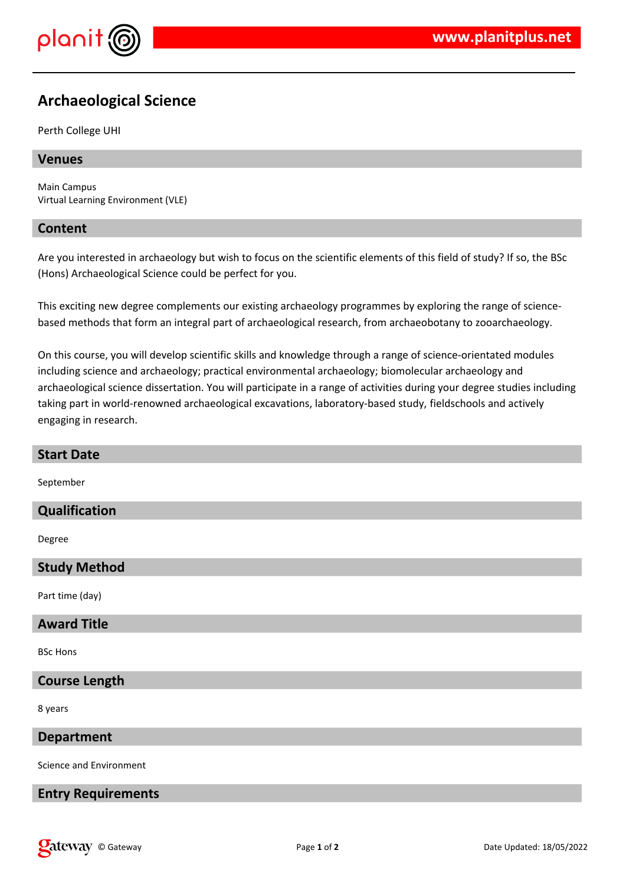

# **Archaeological Science**

#### Perth College UHI

## **Venues**

Main Campus Virtual Learning Environment (VLE)

## **Content**

Are you interested in archaeology but wish to focus on the scientific elements of this field of study? If so, the BSc (Hons) Archaeological Science could be perfect for you.

This exciting new degree complements our existing archaeology programmes by exploring the range of sciencebased methods that form an integral part of archaeological research, from archaeobotany to zooarchaeology.

On this course, you will develop scientific skills and knowledge through a range of science-orientated modules including science and archaeology; practical environmental archaeology; biomolecular archaeology and archaeological science dissertation. You will participate in a range of activities during your degree studies including taking part in world-renowned archaeological excavations, laboratory-based study, fieldschools and actively engaging in research.

| <b>Start Date</b>         |
|---------------------------|
| September                 |
| Qualification             |
| Degree                    |
| <b>Study Method</b>       |
| Part time (day)           |
| <b>Award Title</b>        |
| <b>BSc Hons</b>           |
| <b>Course Length</b>      |
| 8 years                   |
| <b>Department</b>         |
| Science and Environment   |
| <b>Entry Requirements</b> |
|                           |